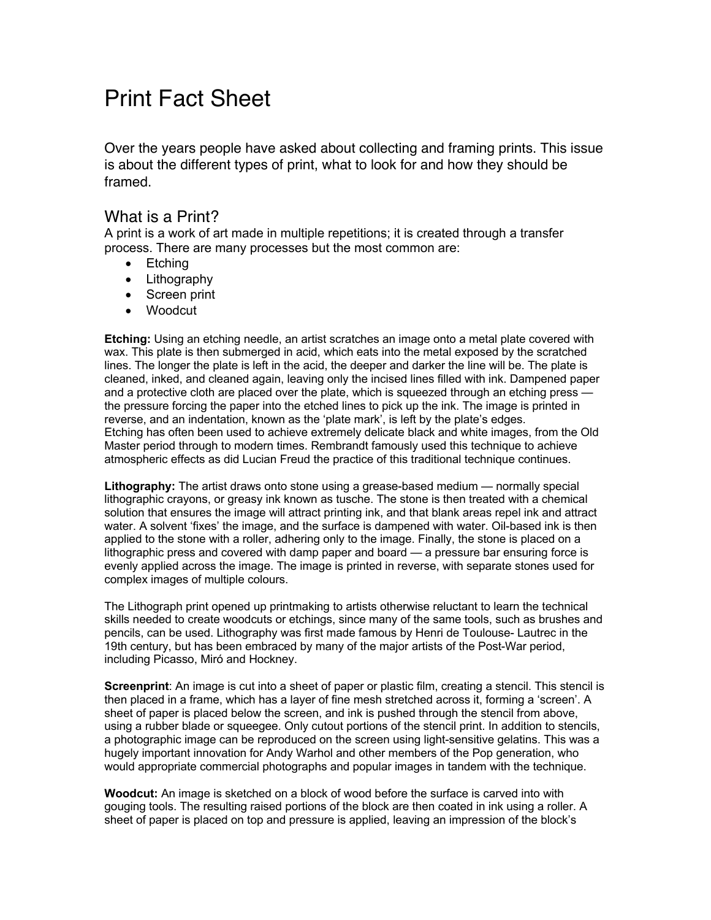# Print Fact Sheet

Over the years people have asked about collecting and framing prints. This issue is about the different types of print, what to look for and how they should be framed.

#### What is a Print?

A print is a work of art made in multiple repetitions; it is created through a transfer process. There are many processes but the most common are:

- Etching
- Lithography
- Screen print
- Woodcut

**Etching:** Using an etching needle, an artist scratches an image onto a metal plate covered with wax. This plate is then submerged in acid, which eats into the metal exposed by the scratched lines. The longer the plate is left in the acid, the deeper and darker the line will be. The plate is cleaned, inked, and cleaned again, leaving only the incised lines filled with ink. Dampened paper and a protective cloth are placed over the plate, which is squeezed through an etching press the pressure forcing the paper into the etched lines to pick up the ink. The image is printed in reverse, and an indentation, known as the 'plate mark', is left by the plate's edges. Etching has often been used to achieve extremely delicate black and white images, from the Old Master period through to modern times. Rembrandt famously used this technique to achieve atmospheric effects as did Lucian Freud the practice of this traditional technique continues.

**Lithography:** The artist draws onto stone using a grease-based medium — normally special lithographic crayons, or greasy ink known as tusche. The stone is then treated with a chemical solution that ensures the image will attract printing ink, and that blank areas repel ink and attract water. A solvent 'fixes' the image, and the surface is dampened with water. Oil-based ink is then applied to the stone with a roller, adhering only to the image. Finally, the stone is placed on a lithographic press and covered with damp paper and board — a pressure bar ensuring force is evenly applied across the image. The image is printed in reverse, with separate stones used for complex images of multiple colours.

The Lithograph print opened up printmaking to artists otherwise reluctant to learn the technical skills needed to create woodcuts or etchings, since many of the same tools, such as brushes and pencils, can be used. Lithography was first made famous by Henri de Toulouse- Lautrec in the 19th century, but has been embraced by many of the major artists of the Post-War period, including Picasso, Miró and Hockney.

**Screenprint**: An image is cut into a sheet of paper or plastic film, creating a stencil. This stencil is then placed in a frame, which has a layer of fine mesh stretched across it, forming a 'screen'. A sheet of paper is placed below the screen, and ink is pushed through the stencil from above, using a rubber blade or squeegee. Only cutout portions of the stencil print. In addition to stencils, a photographic image can be reproduced on the screen using light-sensitive gelatins. This was a hugely important innovation for Andy Warhol and other members of the Pop generation, who would appropriate commercial photographs and popular images in tandem with the technique.

**Woodcut:** An image is sketched on a block of wood before the surface is carved into with gouging tools. The resulting raised portions of the block are then coated in ink using a roller. A sheet of paper is placed on top and pressure is applied, leaving an impression of the block's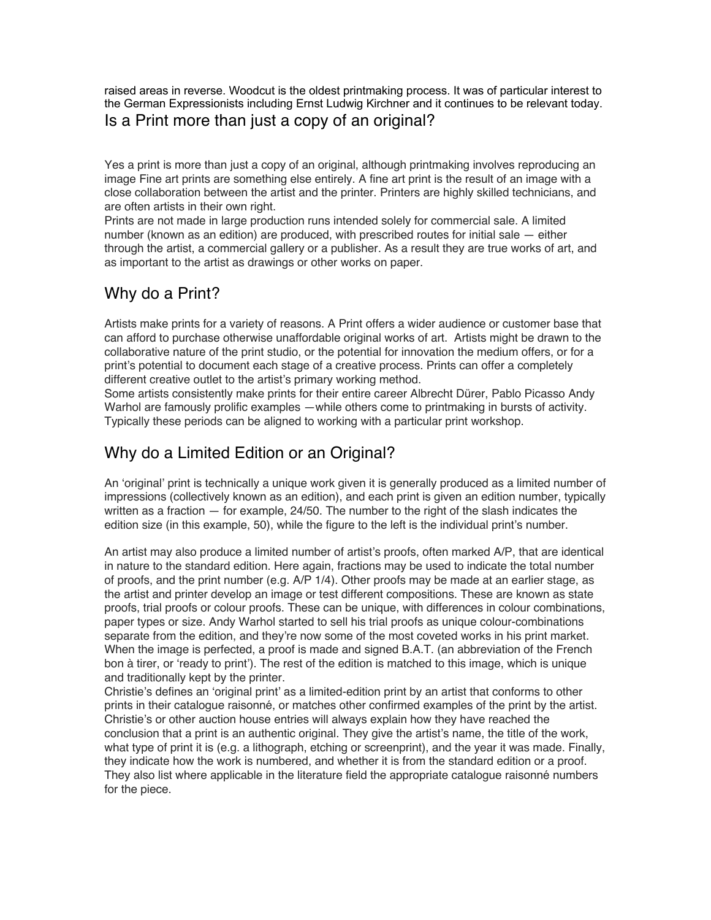raised areas in reverse. Woodcut is the oldest printmaking process. It was of particular interest to the German Expressionists including Ernst Ludwig Kirchner and it continues to be relevant today.

#### Is a Print more than just a copy of an original?

Yes a print is more than just a copy of an original, although printmaking involves reproducing an image Fine art prints are something else entirely. A fine art print is the result of an image with a close collaboration between the artist and the printer. Printers are highly skilled technicians, and are often artists in their own right.

Prints are not made in large production runs intended solely for commercial sale. A limited number (known as an edition) are produced, with prescribed routes for initial sale — either through the artist, a commercial gallery or a publisher. As a result they are true works of art, and as important to the artist as drawings or other works on paper.

# Why do a Print?

Artists make prints for a variety of reasons. A Print offers a wider audience or customer base that can afford to purchase otherwise unaffordable original works of art. Artists might be drawn to the collaborative nature of the print studio, or the potential for innovation the medium offers, or for a print's potential to document each stage of a creative process. Prints can offer a completely different creative outlet to the artist's primary working method.

Some artists consistently make prints for their entire career Albrecht Dürer, Pablo Picasso Andy Warhol are famously prolific examples —while others come to printmaking in bursts of activity. Typically these periods can be aligned to working with a particular print workshop.

# Why do a Limited Edition or an Original?

An 'original' print is technically a unique work given it is generally produced as a limited number of impressions (collectively known as an edition), and each print is given an edition number, typically written as a fraction — for example, 24/50. The number to the right of the slash indicates the edition size (in this example, 50), while the figure to the left is the individual print's number.

An artist may also produce a limited number of artist's proofs, often marked A/P, that are identical in nature to the standard edition. Here again, fractions may be used to indicate the total number of proofs, and the print number (e.g. A/P 1/4). Other proofs may be made at an earlier stage, as the artist and printer develop an image or test different compositions. These are known as state proofs, trial proofs or colour proofs. These can be unique, with differences in colour combinations, paper types or size. Andy Warhol started to sell his trial proofs as unique colour-combinations separate from the edition, and they're now some of the most coveted works in his print market. When the image is perfected, a proof is made and signed B.A.T. (an abbreviation of the French bon à tirer, or 'ready to print'). The rest of the edition is matched to this image, which is unique and traditionally kept by the printer.

Christie's defines an 'original print' as a limited-edition print by an artist that conforms to other prints in their catalogue raisonné, or matches other confirmed examples of the print by the artist. Christie's or other auction house entries will always explain how they have reached the conclusion that a print is an authentic original. They give the artist's name, the title of the work, what type of print it is (e.g. a lithograph, etching or screenprint), and the year it was made. Finally, they indicate how the work is numbered, and whether it is from the standard edition or a proof. They also list where applicable in the literature field the appropriate catalogue raisonné numbers for the piece.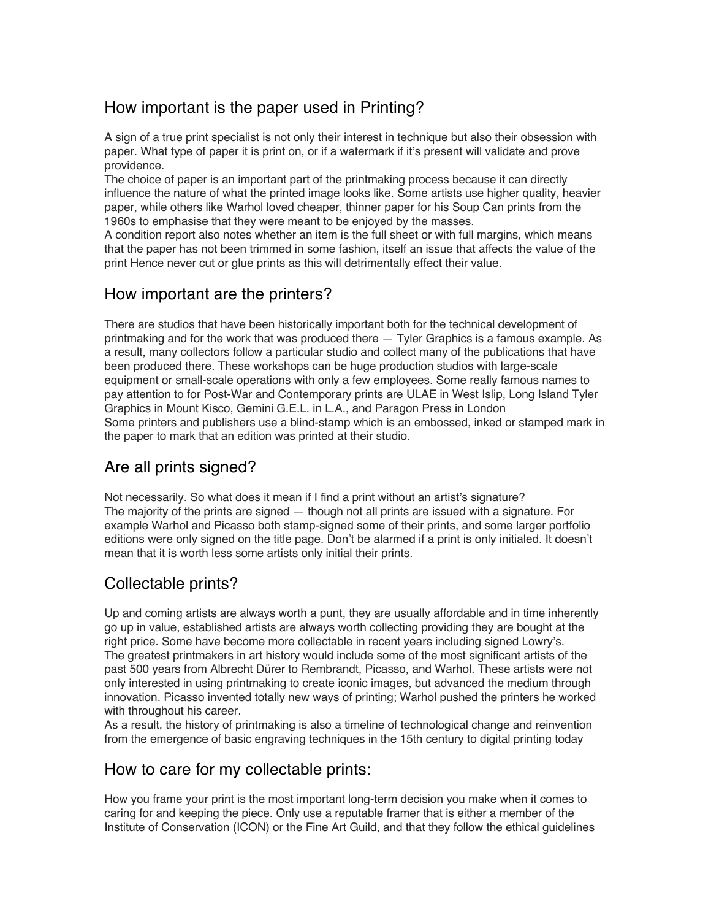### How important is the paper used in Printing?

A sign of a true print specialist is not only their interest in technique but also their obsession with paper. What type of paper it is print on, or if a watermark if it's present will validate and prove providence.

The choice of paper is an important part of the printmaking process because it can directly influence the nature of what the printed image looks like. Some artists use higher quality, heavier paper, while others like Warhol loved cheaper, thinner paper for his Soup Can prints from the 1960s to emphasise that they were meant to be enjoyed by the masses.

A condition report also notes whether an item is the full sheet or with full margins, which means that the paper has not been trimmed in some fashion, itself an issue that affects the value of the print Hence never cut or glue prints as this will detrimentally effect their value.

#### How important are the printers?

There are studios that have been historically important both for the technical development of printmaking and for the work that was produced there — Tyler Graphics is a famous example. As a result, many collectors follow a particular studio and collect many of the publications that have been produced there. These workshops can be huge production studios with large-scale equipment or small-scale operations with only a few employees. Some really famous names to pay attention to for Post-War and Contemporary prints are ULAE in West Islip, Long Island Tyler Graphics in Mount Kisco, Gemini G.E.L. in L.A., and Paragon Press in London Some printers and publishers use a blind-stamp which is an embossed, inked or stamped mark in the paper to mark that an edition was printed at their studio.

## Are all prints signed?

Not necessarily. So what does it mean if I find a print without an artist's signature? The majority of the prints are signed — though not all prints are issued with a signature. For example Warhol and Picasso both stamp-signed some of their prints, and some larger portfolio editions were only signed on the title page. Don't be alarmed if a print is only initialed. It doesn't mean that it is worth less some artists only initial their prints.

#### Collectable prints?

Up and coming artists are always worth a punt, they are usually affordable and in time inherently go up in value, established artists are always worth collecting providing they are bought at the right price. Some have become more collectable in recent years including signed Lowry's. The greatest printmakers in art history would include some of the most significant artists of the past 500 years from Albrecht Dürer to Rembrandt, Picasso, and Warhol. These artists were not only interested in using printmaking to create iconic images, but advanced the medium through innovation. Picasso invented totally new ways of printing; Warhol pushed the printers he worked with throughout his career.

As a result, the history of printmaking is also a timeline of technological change and reinvention from the emergence of basic engraving techniques in the 15th century to digital printing today

#### How to care for my collectable prints:

How you frame your print is the most important long-term decision you make when it comes to caring for and keeping the piece. Only use a reputable framer that is either a member of the Institute of Conservation (ICON) or the Fine Art Guild, and that they follow the ethical guidelines